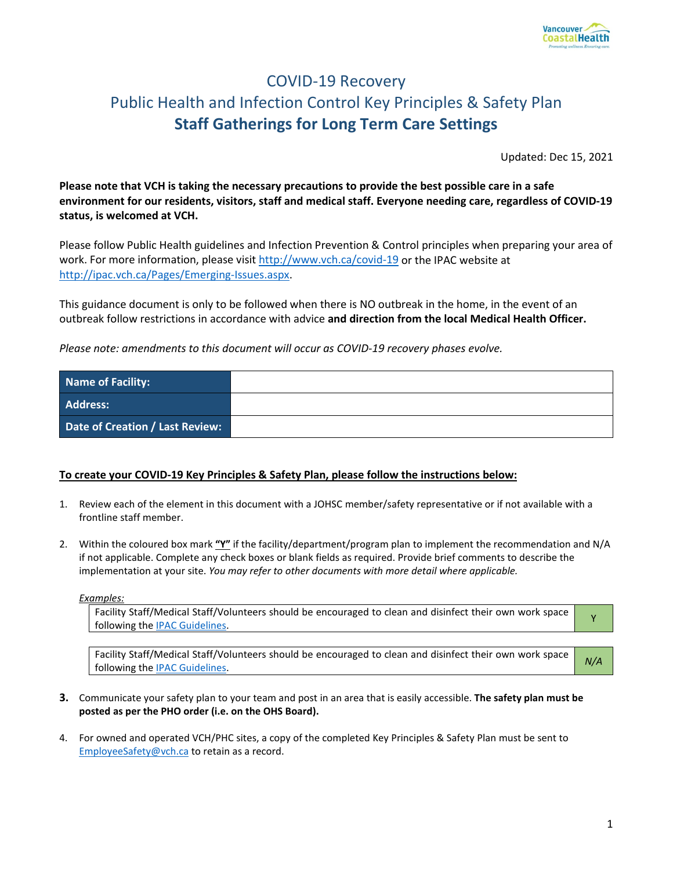

# COVID-19 Recovery Public Health and Infection Control Key Principles & Safety Plan **Staff Gatherings for Long Term Care Settings**

Updated: Dec 15, 2021

**Please note that VCH is taking the necessary precautions to provide the best possible care in a safe environment for our residents, visitors, staff and medical staff. Everyone needing care, regardless of COVID-19 status, is welcomed at VCH.** 

Please follow Public Health guidelines and Infection Prevention & Control principles when preparing your area of work. For more information, please visi[t http://www.vch.ca/covid-19](http://www.vch.ca/covid-19) or the IPAC website at [http://ipac.vch.ca/Pages/Emerging-Issues.aspx.](http://ipac.vch.ca/Pages/Emerging-Issues.aspx)

This guidance document is only to be followed when there is NO outbreak in the home, in the event of an outbreak follow restrictions in accordance with advice **and direction from the local Medical Health Officer.**

*Please note: amendments to this document will occur as COVID-19 recovery phases evolve.* 

| Name of Facility:               |  |
|---------------------------------|--|
| <b>Address:</b>                 |  |
| Date of Creation / Last Review: |  |

#### **To create your COVID-19 Key Principles & Safety Plan, please follow the instructions below:**

- 1. Review each of the element in this document with a JOHSC member/safety representative or if not available with a frontline staff member.
- 2. Within the coloured box mark **"Y"** if the facility/department/program plan to implement the recommendation and N/A if not applicable. Complete any check boxes or blank fields as required. Provide brief comments to describe the implementation at your site. *You may refer to other documents with more detail where applicable.*

*Examples:* 

Facility Staff/Medical Staff/Volunteers should be encouraged to clean and disinfect their own work space Factury start/wiedical start/volunteers should be encouraged to clean and distinct their own work space values

Facility Staff/Medical Staff/Volunteers should be encouraged to clean and disinfect their own work space **M/A**<br>following the <u>IPAC Guidelines</u>.

- **3.** Communicate your safety plan to your team and post in an area that is easily accessible. **The safety plan must be posted as per the PHO order (i.e. on the OHS Board).**
- 4. For owned and operated VCH/PHC sites, a copy of the completed Key Principles & Safety Plan must be sent to [EmployeeSafety@vch.ca](mailto:EmployeeSafety@vch.ca?subject=Key%20Principles%20&%20Safety%20Plan%20) to retain as a record.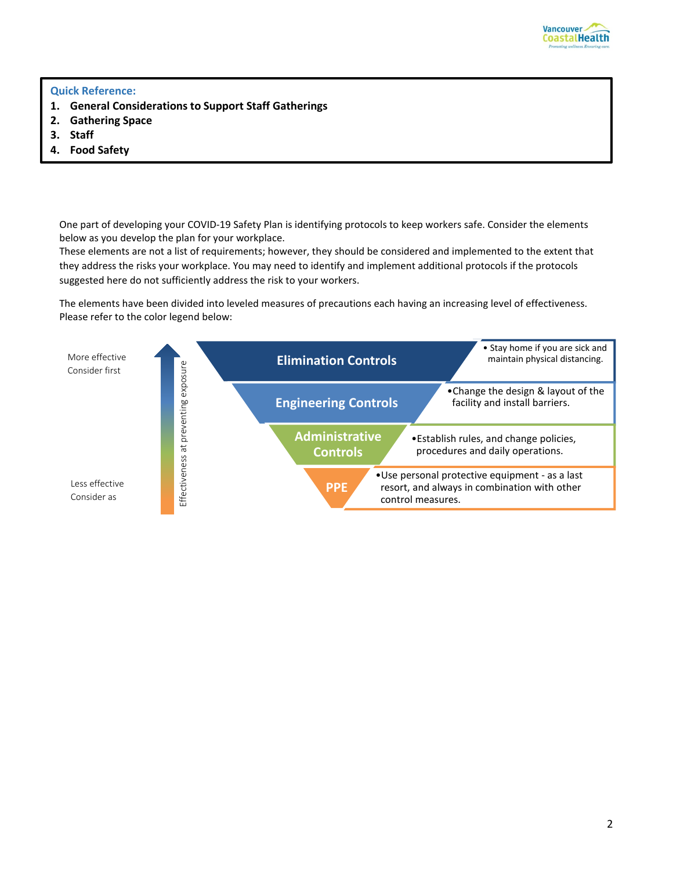

**Quick Reference:**

- **1. General Considerations to Support Staff Gatherings**
- **2. Gathering Space**
- **3. Staff**
- **4. Food Safety**

One part of developing your COVID-19 Safety Plan is identifying protocols to keep workers safe. Consider the elements below as you develop the plan for your workplace.

These elements are not a list of requirements; however, they should be considered and implemented to the extent that they address the risks your workplace. You may need to identify and implement additional protocols if the protocols suggested here do not sufficiently address the risk to your workers.

The elements have been divided into leveled measures of precautions each having an increasing level of effectiveness. Please refer to the color legend below:

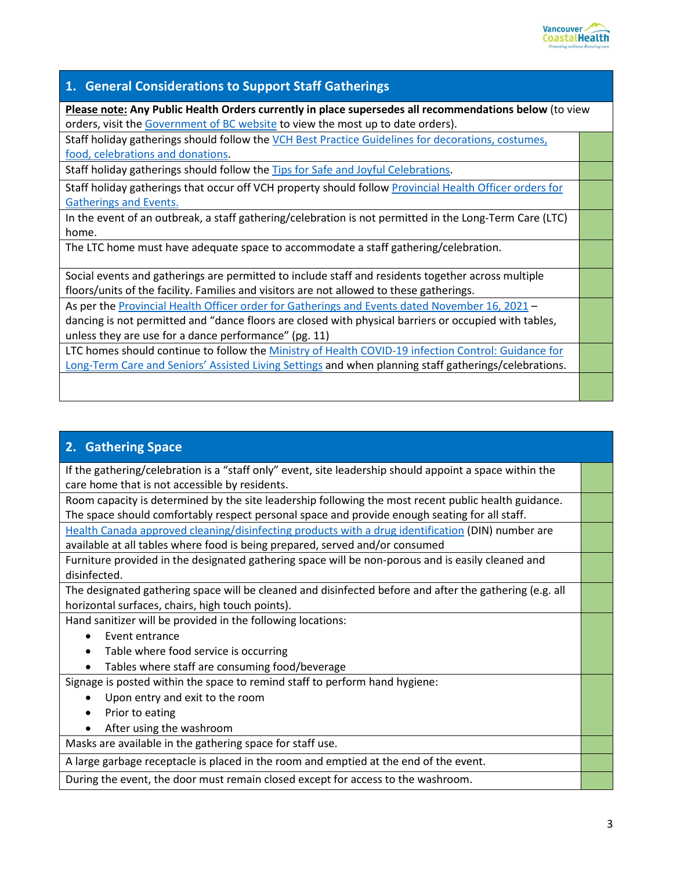

### **1. General Considerations to Support Staff Gatherings**

**Please note: Any Public Health Orders currently in place supersedes all recommendations below** (to view orders, visit the [Government of BC website](https://www2.gov.bc.ca/gov/content/health/about-bc-s-health-care-system/office-of-the-provincial-health-officer/current-health-topics/covid-19-novel-coronavirus) to view the most up to date orders).

Staff holiday gatherings should follow the VCH Best Practice Guidelines for decorations, costumes, [food, celebrations and donations.](http://ipac.vch.ca/Documents/Acute%20Resource%20manual/Holiday%20Decorations.pdf)

Staff holiday gatherings should follow the [Tips for Safe and Joyful Celebrations.](http://www.vch.ca/covid-1http:/ipac.vch.ca/Documents/Acute%20Resource%20manual/Tips%20for%20a%20safe%20and%20joyful%20holiday.pdf)

Staff holiday gatherings that occur off VCH property should follo[w Provincial Health Officer orders for](http://www.vch.ca/covid-1https:/www2.gov.bc.ca/assets/gov/health/about-bc-s-health-care-system/office-of-the-provincial-health-officer/covid-19/covid-19-pho-order-gatherings-events.pdf)  [Gatherings and Events.](http://www.vch.ca/covid-1https:/www2.gov.bc.ca/assets/gov/health/about-bc-s-health-care-system/office-of-the-provincial-health-officer/covid-19/covid-19-pho-order-gatherings-events.pdf)

In the event of an outbreak, a staff gathering/celebration is not permitted in the Long-Term Care (LTC) home.

The LTC home must have adequate space to accommodate a staff gathering/celebration.

Social events and gatherings are permitted to include staff and residents together across multiple floors/units of the facility. Families and visitors are not allowed to these gatherings.

As per the [Provincial Health Officer order for Gatherings and Events dated November 16, 2021](https://www2.gov.bc.ca/assets/gov/health/about-bc-s-health-care-system/office-of-the-provincial-health-officer/covid-19/covid-19-pho-order-gatherings-events.pdf) – dancing is not permitted and "dance floors are closed with physical barriers or occupied with tables, unless they are use for a dance performance" (pg. 11)

LTC homes should continue to follow the [Ministry of Health COVID-19 infection Control: Guidance for](http://www.bccdc.ca/Health-Info-Site/Documents/COVID19_LongTermCareAssistedLiving.pdf)  [Long-Term Care and Seniors' Assisted Living Settings](http://www.bccdc.ca/Health-Info-Site/Documents/COVID19_LongTermCareAssistedLiving.pdf) and when planning staff gatherings/celebrations.

#### **2. Gathering Space**

If the gathering/celebration is a "staff only" event, site leadership should appoint a space within the care home that is not accessible by residents.

Room capacity is determined by the site leadership following the most recent public health guidance. The space should comfortably respect personal space and provide enough seating for all staff.

[Health Canada approved cleaning/disinfecting products with a drug identification](https://www.canada.ca/en/health-canada/services/drugs-health-products/disinfectants/covid-19/list.html) (DIN) number are

available at all tables where food is being prepared, served and/or consumed

Furniture provided in the designated gathering space will be non-porous and is easily cleaned and disinfected.

The designated gathering space will be cleaned and disinfected before and after the gathering (e.g. all horizontal surfaces, chairs, high touch points).

Hand sanitizer will be provided in the following locations:

- Event entrance
- Table where food service is occurring
- Tables where staff are consuming food/beverage

Signage is posted within the space to remind staff to perform hand hygiene:

- Upon entry and exit to the room
- Prior to eating
- After using the washroom

Masks are available in the gathering space for staff use.

A large garbage receptacle is placed in the room and emptied at the end of the event.

During the event, the door must remain closed except for access to the washroom.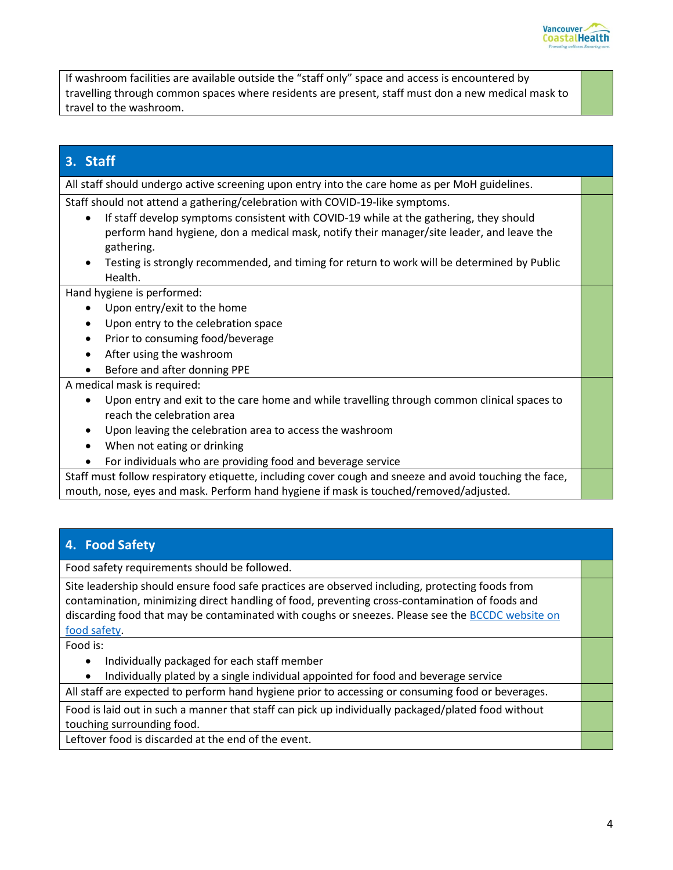

If washroom facilities are available outside the "staff only" space and access is encountered by travelling through common spaces where residents are present, staff must don a new medical mask to travel to the washroom.

## **3. Staff**

All staff should undergo active screening upon entry into the care home as per MoH guidelines.

Staff should not attend a gathering/celebration with COVID-19-like symptoms.

- If staff develop symptoms consistent with COVID-19 while at the gathering, they should perform hand hygiene, don a medical mask, notify their manager/site leader, and leave the gathering.
- Testing is strongly recommended, and timing for return to work will be determined by Public Health.

Hand hygiene is performed:

- Upon entry/exit to the home
- Upon entry to the celebration space
- Prior to consuming food/beverage
- After using the washroom
- Before and after donning PPE

A medical mask is required:

- Upon entry and exit to the care home and while travelling through common clinical spaces to reach the celebration area
- Upon leaving the celebration area to access the washroom
- When not eating or drinking
- For individuals who are providing food and beverage service

Staff must follow respiratory etiquette, including cover cough and sneeze and avoid touching the face, mouth, nose, eyes and mask. Perform hand hygiene if mask is touched/removed/adjusted.

#### **4. Food Safety**

Food safety requirements should be followed.

Site leadership should ensure food safe practices are observed including, protecting foods from contamination, minimizing direct handling of food, preventing cross-contamination of foods and discarding food that may be contaminated with coughs or sneezes. Please see the BCCDC website on [food safety.](http://www.bccdc.ca/health-info/prevention-public-health/food-safety)

Food is:

- Individually packaged for each staff member
- Individually plated by a single individual appointed for food and beverage service

All staff are expected to perform hand hygiene prior to accessing or consuming food or beverages.

Food is laid out in such a manner that staff can pick up individually packaged/plated food without touching surrounding food.

Leftover food is discarded at the end of the event.